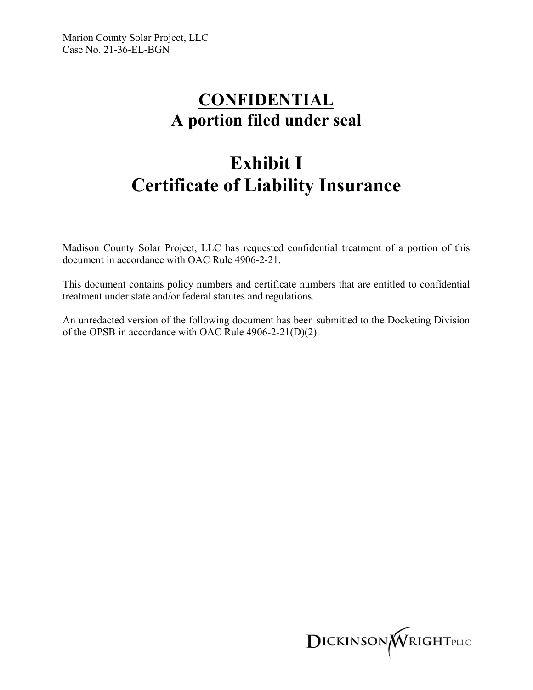## **CONFIDENTIAL A portion filed under seal**

## **Exhibit I Certificate of Liability Insurance**

Madison County Solar Project, LLC has requested confidential treatment of a portion of this document in accordance with OAC Rule 4906-2-21.

This document contains policy numbers and certificate numbers that are entitled to confidential treatment under state and/or federal statutes and regulations.

An unredacted version of the following document has been submitted to the Docketing Division of the OPSB in accordance with OAC Rule 4906-2-21(D)(2).

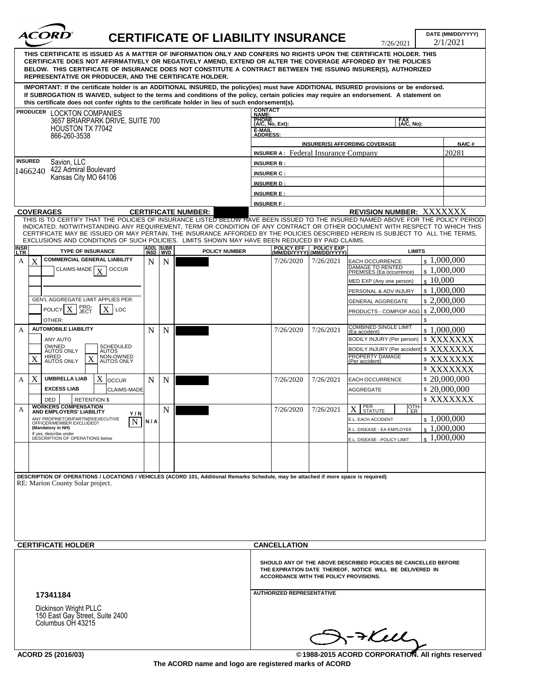| THIS CERTIFICATE IS ISSUED AS A MATTER OF INFORMATION ONLY AND CONFERS NO RIGHTS UPON THE CERTIFICATE HOLDER. THIS<br>CERTIFICATE DOES NOT AFFIRMATIVELY OR NEGATIVELY AMEND, EXTEND OR ALTER THE COVERAGE AFFORDED BY THE POLICIES<br>BELOW. THIS CERTIFICATE OF INSURANCE DOES NOT CONSTITUTE A CONTRACT BETWEEN THE ISSUING INSURER(S), AUTHORIZED<br>REPRESENTATIVE OR PRODUCER, AND THE CERTIFICATE HOLDER.<br>IMPORTANT: If the certificate holder is an ADDITIONAL INSURED, the policy(ies) must have ADDITIONAL INSURED provisions or be endorsed.<br>If SUBROGATION IS WAIVED, subject to the terms and conditions of the policy, certain policies may require an endorsement. A statement on<br>this certificate does not confer rights to the certificate holder in lieu of such endorsement(s).<br><b>CONTACT<br/>NAME:</b><br>PRODUCER LOCKTON COMPANIES<br><b>PHONE</b><br>3657 BRIARPARK DRIVE, SUITE 700<br>FAX<br>(A/C, No):<br>(A/C, No, Ext):<br><b>HOUSTON TX 77042</b><br>E-MAIL<br>ADDRESS:<br>866-260-3538<br><b>INSURER(S) AFFORDING COVERAGE</b><br><b>NAIC#</b><br>20281<br><b>INSURER A:</b> Federal Insurance Company<br><b>INSURED</b><br>Savion, LLC<br><b>INSURER B:</b><br>422 Admiral Boulevard<br>1466240<br><b>INSURER C:</b><br>Kansas City MO 64106<br><b>INSURER D:</b><br><b>INSURER E:</b><br><b>INSURER F:</b><br><b>REVISION NUMBER: XXXXXXX</b><br><b>COVERAGES</b><br><b>CERTIFICATE NUMBER:</b><br>THIS IS TO CERTIFY THAT THE POLICIES OF INSURANCE LISTED BELOW HAVE BEEN ISSUED TO THE INSURED NAMED ABOVE FOR THE POLICY PERIOD<br>INDICATED. NOTWITHSTANDING ANY REQUIREMENT, TERM OR CONDITION OF ANY CONTRACT OR OTHER DOCUMENT WITH RESPECT TO WHICH THIS<br>CERTIFICATE MAY BE ISSUED OR MAY PERTAIN, THE INSURANCE AFFORDED BY THE POLICIES DESCRIBED HEREIN IS SUBJECT TO ALL THE TERMS.<br>EXCLUSIONS AND CONDITIONS OF SUCH POLICIES. LIMITS SHOWN MAY HAVE BEEN REDUCED BY PAID CLAIMS.<br>ADDL SUBR<br>INSD WVD<br>POLICY EFF POLICY EXP<br>(MM/DD/YYYY) (MM/DD/YYYY)<br><b>TYPE OF INSURANCE</b><br><b>POLICY NUMBER</b><br><b>LIMITS</b><br><b>COMMERCIAL GENERAL LIABILITY</b><br>$\frac{1,000,000}{2}$<br>X<br>7/26/2021<br>$\mathbf N$<br>7/26/2020<br>A<br>N<br>EACH OCCURRENCE<br>DAMAGE TO RENTED<br>PREMISES (Ea occurrence)<br>CLAIMS-MADE<br><b>OCCUR</b><br>\$1,000,000<br>$\mathbf{x}$<br>\$10,000<br>MED EXP (Any one person)<br>$\pm 1,000,000$<br>PERSONAL & ADV INJURY<br>GEN'L AGGREGATE LIMIT APPLIES PER:<br>\$2,000,000<br><b>GENERAL AGGREGATE</b><br>PRO-<br>JECT<br><b>POLICY</b><br>LOC<br>\$2,000,000<br>PRODUCTS - COMP/OP AGG<br>\$<br>OTHER:<br>COMBINED SINGLE LIMIT<br>(Ea accident)<br><b>AUTOMOBILE LIABILITY</b><br>\$1,000,000<br>N<br>N<br>7/26/2020<br>7/26/2021<br>А<br>XXXXXXX<br>BODILY INJURY (Per person)<br>\$<br>ANY AUTO<br>OWNED<br>AUTOS ONLY<br>SCHEDULED<br>AUTOS<br>\$XXXXXXX<br>BODILY INJURY (Per accident)<br>PROPERTY DAMAGE<br>(Per accident)<br>HIRED<br>AUTOS ONLY<br>NON-OWNED<br>AUTOS ONLY<br>X<br>$\boldsymbol{\mathrm{X}}$<br>\$XXXXXXX<br>XXXXXXX<br>\$<br>X<br><b>UMBRELLA LIAB</b><br>X<br>\$20,000,000<br>N<br>7/26/2020<br>7/26/2021<br>N<br><b>EACH OCCURRENCE</b><br>A<br>loccur<br><b>EXCESS LIAB</b><br>\$20,000,000<br>CLAIMS-MADE<br><b>AGGREGATE</b><br>\$XXXXXXX<br><b>DED</b><br><b>RETENTION \$</b><br><b>WORKERS COMPENSATION</b><br>OTH-<br>PER<br>STATUTE<br>$X_{\mathcal{I}}$<br>7/26/2021<br>N<br>7/26/2020<br>А<br>ER.<br>AND EMPLOYERS' LIABILITY<br>Y/N<br>\$1,000,000<br>ANY PROPRIETOR/PARTNER/EXECUTIVE<br>E.L. EACH ACCIDENT<br><b>N/A</b><br>N<br>OFFICER/MEMBER EXCLUDED?<br>(Mandatory in NH)<br>$\pm 1,000,000$<br>E.L. DISEASE - EA EMPLOYEE<br>If yes, describe under<br>1,000,000<br>DÉSCRIPTION OF OPERATIONS below<br>E.L. DISEASE - POLICY LIMIT<br>DESCRIPTION OF OPERATIONS / LOCATIONS / VEHICLES (ACORD 101, Additional Remarks Schedule, may be attached if more space is required)<br>RE: Marion County Solar project.<br><b>CERTIFICATE HOLDER</b><br><b>CANCELLATION</b><br>SHOULD ANY OF THE ABOVE DESCRIBED POLICIES BE CANCELLED BEFORE<br>THE EXPIRATION DATE THEREOF, NOTICE WILL BE DELIVERED IN<br><b>ACCORDANCE WITH THE POLICY PROVISIONS.</b><br><b>AUTHORIZED REPRESENTATIVE</b><br>17341184<br>Dickinson Wright PLLC<br>150 East Gay Street, Suite 2400<br>Columbus OH 43215<br>$\mathbb{S}$ ->Kul<br>©1988-2015 ACORD CORPORATION. All rights reserved | $\sim$ $\sim$<br><i><b>ACORD</b></i> |  | <b>CERTIFICATE OF LIABILITY INSURANCE</b> |  |  |  |  |  |  |  | DATE (MM/DD/YYYY)<br>2/1/2021<br>7/26/2021 |  |  |
|--------------------------------------------------------------------------------------------------------------------------------------------------------------------------------------------------------------------------------------------------------------------------------------------------------------------------------------------------------------------------------------------------------------------------------------------------------------------------------------------------------------------------------------------------------------------------------------------------------------------------------------------------------------------------------------------------------------------------------------------------------------------------------------------------------------------------------------------------------------------------------------------------------------------------------------------------------------------------------------------------------------------------------------------------------------------------------------------------------------------------------------------------------------------------------------------------------------------------------------------------------------------------------------------------------------------------------------------------------------------------------------------------------------------------------------------------------------------------------------------------------------------------------------------------------------------------------------------------------------------------------------------------------------------------------------------------------------------------------------------------------------------------------------------------------------------------------------------------------------------------------------------------------------------------------------------------------------------------------------------------------------------------------------------------------------------------------------------------------------------------------------------------------------------------------------------------------------------------------------------------------------------------------------------------------------------------------------------------------------------------------------------------------------------------------------------------------------------------------------------------------------------------------------------------------------------------------------------------------------------------------------------------------------------------------------------------------------------------------------------------------------------------------------------------------------------------------------------------------------------------------------------------------------------------------------------------------------------------------------------------------------------------------------------------------------------------------------------------------------------------------------------------------------------------------------------------------------------------------------------------------------------------------------------------------------------------------------------------------------------------------------------------------------------------------------------------------------------------------------------------------------------------------------------------------------------------------------------------------------------------------------------------------------------------------------------------------------------------------------------------------------------------------------------------------------------------------------------------------------------------------------------------------------------------------------------------------------------------------------------------------------------------------------------------------------------------------------------------------------------------------------------------------------------------------------------------------------------------------------------------------------------------------------------------------------------------------------------------------------------------------------------------------------------------------------------|--------------------------------------|--|-------------------------------------------|--|--|--|--|--|--|--|--------------------------------------------|--|--|
|                                                                                                                                                                                                                                                                                                                                                                                                                                                                                                                                                                                                                                                                                                                                                                                                                                                                                                                                                                                                                                                                                                                                                                                                                                                                                                                                                                                                                                                                                                                                                                                                                                                                                                                                                                                                                                                                                                                                                                                                                                                                                                                                                                                                                                                                                                                                                                                                                                                                                                                                                                                                                                                                                                                                                                                                                                                                                                                                                                                                                                                                                                                                                                                                                                                                                                                                                                                                                                                                                                                                                                                                                                                                                                                                                                                                                                                                                                                                                                                                                                                                                                                                                                                                                                                                                                                                                                                                                                            |                                      |  |                                           |  |  |  |  |  |  |  |                                            |  |  |
|                                                                                                                                                                                                                                                                                                                                                                                                                                                                                                                                                                                                                                                                                                                                                                                                                                                                                                                                                                                                                                                                                                                                                                                                                                                                                                                                                                                                                                                                                                                                                                                                                                                                                                                                                                                                                                                                                                                                                                                                                                                                                                                                                                                                                                                                                                                                                                                                                                                                                                                                                                                                                                                                                                                                                                                                                                                                                                                                                                                                                                                                                                                                                                                                                                                                                                                                                                                                                                                                                                                                                                                                                                                                                                                                                                                                                                                                                                                                                                                                                                                                                                                                                                                                                                                                                                                                                                                                                                            |                                      |  |                                           |  |  |  |  |  |  |  |                                            |  |  |
|                                                                                                                                                                                                                                                                                                                                                                                                                                                                                                                                                                                                                                                                                                                                                                                                                                                                                                                                                                                                                                                                                                                                                                                                                                                                                                                                                                                                                                                                                                                                                                                                                                                                                                                                                                                                                                                                                                                                                                                                                                                                                                                                                                                                                                                                                                                                                                                                                                                                                                                                                                                                                                                                                                                                                                                                                                                                                                                                                                                                                                                                                                                                                                                                                                                                                                                                                                                                                                                                                                                                                                                                                                                                                                                                                                                                                                                                                                                                                                                                                                                                                                                                                                                                                                                                                                                                                                                                                                            |                                      |  |                                           |  |  |  |  |  |  |  |                                            |  |  |
|                                                                                                                                                                                                                                                                                                                                                                                                                                                                                                                                                                                                                                                                                                                                                                                                                                                                                                                                                                                                                                                                                                                                                                                                                                                                                                                                                                                                                                                                                                                                                                                                                                                                                                                                                                                                                                                                                                                                                                                                                                                                                                                                                                                                                                                                                                                                                                                                                                                                                                                                                                                                                                                                                                                                                                                                                                                                                                                                                                                                                                                                                                                                                                                                                                                                                                                                                                                                                                                                                                                                                                                                                                                                                                                                                                                                                                                                                                                                                                                                                                                                                                                                                                                                                                                                                                                                                                                                                                            |                                      |  |                                           |  |  |  |  |  |  |  |                                            |  |  |
|                                                                                                                                                                                                                                                                                                                                                                                                                                                                                                                                                                                                                                                                                                                                                                                                                                                                                                                                                                                                                                                                                                                                                                                                                                                                                                                                                                                                                                                                                                                                                                                                                                                                                                                                                                                                                                                                                                                                                                                                                                                                                                                                                                                                                                                                                                                                                                                                                                                                                                                                                                                                                                                                                                                                                                                                                                                                                                                                                                                                                                                                                                                                                                                                                                                                                                                                                                                                                                                                                                                                                                                                                                                                                                                                                                                                                                                                                                                                                                                                                                                                                                                                                                                                                                                                                                                                                                                                                                            |                                      |  |                                           |  |  |  |  |  |  |  |                                            |  |  |
|                                                                                                                                                                                                                                                                                                                                                                                                                                                                                                                                                                                                                                                                                                                                                                                                                                                                                                                                                                                                                                                                                                                                                                                                                                                                                                                                                                                                                                                                                                                                                                                                                                                                                                                                                                                                                                                                                                                                                                                                                                                                                                                                                                                                                                                                                                                                                                                                                                                                                                                                                                                                                                                                                                                                                                                                                                                                                                                                                                                                                                                                                                                                                                                                                                                                                                                                                                                                                                                                                                                                                                                                                                                                                                                                                                                                                                                                                                                                                                                                                                                                                                                                                                                                                                                                                                                                                                                                                                            |                                      |  |                                           |  |  |  |  |  |  |  |                                            |  |  |
|                                                                                                                                                                                                                                                                                                                                                                                                                                                                                                                                                                                                                                                                                                                                                                                                                                                                                                                                                                                                                                                                                                                                                                                                                                                                                                                                                                                                                                                                                                                                                                                                                                                                                                                                                                                                                                                                                                                                                                                                                                                                                                                                                                                                                                                                                                                                                                                                                                                                                                                                                                                                                                                                                                                                                                                                                                                                                                                                                                                                                                                                                                                                                                                                                                                                                                                                                                                                                                                                                                                                                                                                                                                                                                                                                                                                                                                                                                                                                                                                                                                                                                                                                                                                                                                                                                                                                                                                                                            |                                      |  |                                           |  |  |  |  |  |  |  |                                            |  |  |
|                                                                                                                                                                                                                                                                                                                                                                                                                                                                                                                                                                                                                                                                                                                                                                                                                                                                                                                                                                                                                                                                                                                                                                                                                                                                                                                                                                                                                                                                                                                                                                                                                                                                                                                                                                                                                                                                                                                                                                                                                                                                                                                                                                                                                                                                                                                                                                                                                                                                                                                                                                                                                                                                                                                                                                                                                                                                                                                                                                                                                                                                                                                                                                                                                                                                                                                                                                                                                                                                                                                                                                                                                                                                                                                                                                                                                                                                                                                                                                                                                                                                                                                                                                                                                                                                                                                                                                                                                                            |                                      |  |                                           |  |  |  |  |  |  |  |                                            |  |  |
|                                                                                                                                                                                                                                                                                                                                                                                                                                                                                                                                                                                                                                                                                                                                                                                                                                                                                                                                                                                                                                                                                                                                                                                                                                                                                                                                                                                                                                                                                                                                                                                                                                                                                                                                                                                                                                                                                                                                                                                                                                                                                                                                                                                                                                                                                                                                                                                                                                                                                                                                                                                                                                                                                                                                                                                                                                                                                                                                                                                                                                                                                                                                                                                                                                                                                                                                                                                                                                                                                                                                                                                                                                                                                                                                                                                                                                                                                                                                                                                                                                                                                                                                                                                                                                                                                                                                                                                                                                            |                                      |  |                                           |  |  |  |  |  |  |  |                                            |  |  |
|                                                                                                                                                                                                                                                                                                                                                                                                                                                                                                                                                                                                                                                                                                                                                                                                                                                                                                                                                                                                                                                                                                                                                                                                                                                                                                                                                                                                                                                                                                                                                                                                                                                                                                                                                                                                                                                                                                                                                                                                                                                                                                                                                                                                                                                                                                                                                                                                                                                                                                                                                                                                                                                                                                                                                                                                                                                                                                                                                                                                                                                                                                                                                                                                                                                                                                                                                                                                                                                                                                                                                                                                                                                                                                                                                                                                                                                                                                                                                                                                                                                                                                                                                                                                                                                                                                                                                                                                                                            |                                      |  |                                           |  |  |  |  |  |  |  |                                            |  |  |
|                                                                                                                                                                                                                                                                                                                                                                                                                                                                                                                                                                                                                                                                                                                                                                                                                                                                                                                                                                                                                                                                                                                                                                                                                                                                                                                                                                                                                                                                                                                                                                                                                                                                                                                                                                                                                                                                                                                                                                                                                                                                                                                                                                                                                                                                                                                                                                                                                                                                                                                                                                                                                                                                                                                                                                                                                                                                                                                                                                                                                                                                                                                                                                                                                                                                                                                                                                                                                                                                                                                                                                                                                                                                                                                                                                                                                                                                                                                                                                                                                                                                                                                                                                                                                                                                                                                                                                                                                                            |                                      |  |                                           |  |  |  |  |  |  |  |                                            |  |  |
|                                                                                                                                                                                                                                                                                                                                                                                                                                                                                                                                                                                                                                                                                                                                                                                                                                                                                                                                                                                                                                                                                                                                                                                                                                                                                                                                                                                                                                                                                                                                                                                                                                                                                                                                                                                                                                                                                                                                                                                                                                                                                                                                                                                                                                                                                                                                                                                                                                                                                                                                                                                                                                                                                                                                                                                                                                                                                                                                                                                                                                                                                                                                                                                                                                                                                                                                                                                                                                                                                                                                                                                                                                                                                                                                                                                                                                                                                                                                                                                                                                                                                                                                                                                                                                                                                                                                                                                                                                            |                                      |  |                                           |  |  |  |  |  |  |  |                                            |  |  |
|                                                                                                                                                                                                                                                                                                                                                                                                                                                                                                                                                                                                                                                                                                                                                                                                                                                                                                                                                                                                                                                                                                                                                                                                                                                                                                                                                                                                                                                                                                                                                                                                                                                                                                                                                                                                                                                                                                                                                                                                                                                                                                                                                                                                                                                                                                                                                                                                                                                                                                                                                                                                                                                                                                                                                                                                                                                                                                                                                                                                                                                                                                                                                                                                                                                                                                                                                                                                                                                                                                                                                                                                                                                                                                                                                                                                                                                                                                                                                                                                                                                                                                                                                                                                                                                                                                                                                                                                                                            | <b>INSR</b>                          |  |                                           |  |  |  |  |  |  |  |                                            |  |  |
|                                                                                                                                                                                                                                                                                                                                                                                                                                                                                                                                                                                                                                                                                                                                                                                                                                                                                                                                                                                                                                                                                                                                                                                                                                                                                                                                                                                                                                                                                                                                                                                                                                                                                                                                                                                                                                                                                                                                                                                                                                                                                                                                                                                                                                                                                                                                                                                                                                                                                                                                                                                                                                                                                                                                                                                                                                                                                                                                                                                                                                                                                                                                                                                                                                                                                                                                                                                                                                                                                                                                                                                                                                                                                                                                                                                                                                                                                                                                                                                                                                                                                                                                                                                                                                                                                                                                                                                                                                            |                                      |  |                                           |  |  |  |  |  |  |  |                                            |  |  |
|                                                                                                                                                                                                                                                                                                                                                                                                                                                                                                                                                                                                                                                                                                                                                                                                                                                                                                                                                                                                                                                                                                                                                                                                                                                                                                                                                                                                                                                                                                                                                                                                                                                                                                                                                                                                                                                                                                                                                                                                                                                                                                                                                                                                                                                                                                                                                                                                                                                                                                                                                                                                                                                                                                                                                                                                                                                                                                                                                                                                                                                                                                                                                                                                                                                                                                                                                                                                                                                                                                                                                                                                                                                                                                                                                                                                                                                                                                                                                                                                                                                                                                                                                                                                                                                                                                                                                                                                                                            |                                      |  |                                           |  |  |  |  |  |  |  |                                            |  |  |
|                                                                                                                                                                                                                                                                                                                                                                                                                                                                                                                                                                                                                                                                                                                                                                                                                                                                                                                                                                                                                                                                                                                                                                                                                                                                                                                                                                                                                                                                                                                                                                                                                                                                                                                                                                                                                                                                                                                                                                                                                                                                                                                                                                                                                                                                                                                                                                                                                                                                                                                                                                                                                                                                                                                                                                                                                                                                                                                                                                                                                                                                                                                                                                                                                                                                                                                                                                                                                                                                                                                                                                                                                                                                                                                                                                                                                                                                                                                                                                                                                                                                                                                                                                                                                                                                                                                                                                                                                                            |                                      |  |                                           |  |  |  |  |  |  |  |                                            |  |  |
|                                                                                                                                                                                                                                                                                                                                                                                                                                                                                                                                                                                                                                                                                                                                                                                                                                                                                                                                                                                                                                                                                                                                                                                                                                                                                                                                                                                                                                                                                                                                                                                                                                                                                                                                                                                                                                                                                                                                                                                                                                                                                                                                                                                                                                                                                                                                                                                                                                                                                                                                                                                                                                                                                                                                                                                                                                                                                                                                                                                                                                                                                                                                                                                                                                                                                                                                                                                                                                                                                                                                                                                                                                                                                                                                                                                                                                                                                                                                                                                                                                                                                                                                                                                                                                                                                                                                                                                                                                            |                                      |  |                                           |  |  |  |  |  |  |  |                                            |  |  |
|                                                                                                                                                                                                                                                                                                                                                                                                                                                                                                                                                                                                                                                                                                                                                                                                                                                                                                                                                                                                                                                                                                                                                                                                                                                                                                                                                                                                                                                                                                                                                                                                                                                                                                                                                                                                                                                                                                                                                                                                                                                                                                                                                                                                                                                                                                                                                                                                                                                                                                                                                                                                                                                                                                                                                                                                                                                                                                                                                                                                                                                                                                                                                                                                                                                                                                                                                                                                                                                                                                                                                                                                                                                                                                                                                                                                                                                                                                                                                                                                                                                                                                                                                                                                                                                                                                                                                                                                                                            |                                      |  |                                           |  |  |  |  |  |  |  |                                            |  |  |
|                                                                                                                                                                                                                                                                                                                                                                                                                                                                                                                                                                                                                                                                                                                                                                                                                                                                                                                                                                                                                                                                                                                                                                                                                                                                                                                                                                                                                                                                                                                                                                                                                                                                                                                                                                                                                                                                                                                                                                                                                                                                                                                                                                                                                                                                                                                                                                                                                                                                                                                                                                                                                                                                                                                                                                                                                                                                                                                                                                                                                                                                                                                                                                                                                                                                                                                                                                                                                                                                                                                                                                                                                                                                                                                                                                                                                                                                                                                                                                                                                                                                                                                                                                                                                                                                                                                                                                                                                                            |                                      |  |                                           |  |  |  |  |  |  |  |                                            |  |  |
|                                                                                                                                                                                                                                                                                                                                                                                                                                                                                                                                                                                                                                                                                                                                                                                                                                                                                                                                                                                                                                                                                                                                                                                                                                                                                                                                                                                                                                                                                                                                                                                                                                                                                                                                                                                                                                                                                                                                                                                                                                                                                                                                                                                                                                                                                                                                                                                                                                                                                                                                                                                                                                                                                                                                                                                                                                                                                                                                                                                                                                                                                                                                                                                                                                                                                                                                                                                                                                                                                                                                                                                                                                                                                                                                                                                                                                                                                                                                                                                                                                                                                                                                                                                                                                                                                                                                                                                                                                            |                                      |  |                                           |  |  |  |  |  |  |  |                                            |  |  |
|                                                                                                                                                                                                                                                                                                                                                                                                                                                                                                                                                                                                                                                                                                                                                                                                                                                                                                                                                                                                                                                                                                                                                                                                                                                                                                                                                                                                                                                                                                                                                                                                                                                                                                                                                                                                                                                                                                                                                                                                                                                                                                                                                                                                                                                                                                                                                                                                                                                                                                                                                                                                                                                                                                                                                                                                                                                                                                                                                                                                                                                                                                                                                                                                                                                                                                                                                                                                                                                                                                                                                                                                                                                                                                                                                                                                                                                                                                                                                                                                                                                                                                                                                                                                                                                                                                                                                                                                                                            |                                      |  |                                           |  |  |  |  |  |  |  |                                            |  |  |
|                                                                                                                                                                                                                                                                                                                                                                                                                                                                                                                                                                                                                                                                                                                                                                                                                                                                                                                                                                                                                                                                                                                                                                                                                                                                                                                                                                                                                                                                                                                                                                                                                                                                                                                                                                                                                                                                                                                                                                                                                                                                                                                                                                                                                                                                                                                                                                                                                                                                                                                                                                                                                                                                                                                                                                                                                                                                                                                                                                                                                                                                                                                                                                                                                                                                                                                                                                                                                                                                                                                                                                                                                                                                                                                                                                                                                                                                                                                                                                                                                                                                                                                                                                                                                                                                                                                                                                                                                                            |                                      |  |                                           |  |  |  |  |  |  |  |                                            |  |  |
|                                                                                                                                                                                                                                                                                                                                                                                                                                                                                                                                                                                                                                                                                                                                                                                                                                                                                                                                                                                                                                                                                                                                                                                                                                                                                                                                                                                                                                                                                                                                                                                                                                                                                                                                                                                                                                                                                                                                                                                                                                                                                                                                                                                                                                                                                                                                                                                                                                                                                                                                                                                                                                                                                                                                                                                                                                                                                                                                                                                                                                                                                                                                                                                                                                                                                                                                                                                                                                                                                                                                                                                                                                                                                                                                                                                                                                                                                                                                                                                                                                                                                                                                                                                                                                                                                                                                                                                                                                            |                                      |  |                                           |  |  |  |  |  |  |  |                                            |  |  |
|                                                                                                                                                                                                                                                                                                                                                                                                                                                                                                                                                                                                                                                                                                                                                                                                                                                                                                                                                                                                                                                                                                                                                                                                                                                                                                                                                                                                                                                                                                                                                                                                                                                                                                                                                                                                                                                                                                                                                                                                                                                                                                                                                                                                                                                                                                                                                                                                                                                                                                                                                                                                                                                                                                                                                                                                                                                                                                                                                                                                                                                                                                                                                                                                                                                                                                                                                                                                                                                                                                                                                                                                                                                                                                                                                                                                                                                                                                                                                                                                                                                                                                                                                                                                                                                                                                                                                                                                                                            |                                      |  |                                           |  |  |  |  |  |  |  |                                            |  |  |
|                                                                                                                                                                                                                                                                                                                                                                                                                                                                                                                                                                                                                                                                                                                                                                                                                                                                                                                                                                                                                                                                                                                                                                                                                                                                                                                                                                                                                                                                                                                                                                                                                                                                                                                                                                                                                                                                                                                                                                                                                                                                                                                                                                                                                                                                                                                                                                                                                                                                                                                                                                                                                                                                                                                                                                                                                                                                                                                                                                                                                                                                                                                                                                                                                                                                                                                                                                                                                                                                                                                                                                                                                                                                                                                                                                                                                                                                                                                                                                                                                                                                                                                                                                                                                                                                                                                                                                                                                                            |                                      |  |                                           |  |  |  |  |  |  |  |                                            |  |  |
|                                                                                                                                                                                                                                                                                                                                                                                                                                                                                                                                                                                                                                                                                                                                                                                                                                                                                                                                                                                                                                                                                                                                                                                                                                                                                                                                                                                                                                                                                                                                                                                                                                                                                                                                                                                                                                                                                                                                                                                                                                                                                                                                                                                                                                                                                                                                                                                                                                                                                                                                                                                                                                                                                                                                                                                                                                                                                                                                                                                                                                                                                                                                                                                                                                                                                                                                                                                                                                                                                                                                                                                                                                                                                                                                                                                                                                                                                                                                                                                                                                                                                                                                                                                                                                                                                                                                                                                                                                            |                                      |  |                                           |  |  |  |  |  |  |  |                                            |  |  |
|                                                                                                                                                                                                                                                                                                                                                                                                                                                                                                                                                                                                                                                                                                                                                                                                                                                                                                                                                                                                                                                                                                                                                                                                                                                                                                                                                                                                                                                                                                                                                                                                                                                                                                                                                                                                                                                                                                                                                                                                                                                                                                                                                                                                                                                                                                                                                                                                                                                                                                                                                                                                                                                                                                                                                                                                                                                                                                                                                                                                                                                                                                                                                                                                                                                                                                                                                                                                                                                                                                                                                                                                                                                                                                                                                                                                                                                                                                                                                                                                                                                                                                                                                                                                                                                                                                                                                                                                                                            |                                      |  |                                           |  |  |  |  |  |  |  |                                            |  |  |
|                                                                                                                                                                                                                                                                                                                                                                                                                                                                                                                                                                                                                                                                                                                                                                                                                                                                                                                                                                                                                                                                                                                                                                                                                                                                                                                                                                                                                                                                                                                                                                                                                                                                                                                                                                                                                                                                                                                                                                                                                                                                                                                                                                                                                                                                                                                                                                                                                                                                                                                                                                                                                                                                                                                                                                                                                                                                                                                                                                                                                                                                                                                                                                                                                                                                                                                                                                                                                                                                                                                                                                                                                                                                                                                                                                                                                                                                                                                                                                                                                                                                                                                                                                                                                                                                                                                                                                                                                                            |                                      |  |                                           |  |  |  |  |  |  |  |                                            |  |  |
|                                                                                                                                                                                                                                                                                                                                                                                                                                                                                                                                                                                                                                                                                                                                                                                                                                                                                                                                                                                                                                                                                                                                                                                                                                                                                                                                                                                                                                                                                                                                                                                                                                                                                                                                                                                                                                                                                                                                                                                                                                                                                                                                                                                                                                                                                                                                                                                                                                                                                                                                                                                                                                                                                                                                                                                                                                                                                                                                                                                                                                                                                                                                                                                                                                                                                                                                                                                                                                                                                                                                                                                                                                                                                                                                                                                                                                                                                                                                                                                                                                                                                                                                                                                                                                                                                                                                                                                                                                            |                                      |  |                                           |  |  |  |  |  |  |  |                                            |  |  |
|                                                                                                                                                                                                                                                                                                                                                                                                                                                                                                                                                                                                                                                                                                                                                                                                                                                                                                                                                                                                                                                                                                                                                                                                                                                                                                                                                                                                                                                                                                                                                                                                                                                                                                                                                                                                                                                                                                                                                                                                                                                                                                                                                                                                                                                                                                                                                                                                                                                                                                                                                                                                                                                                                                                                                                                                                                                                                                                                                                                                                                                                                                                                                                                                                                                                                                                                                                                                                                                                                                                                                                                                                                                                                                                                                                                                                                                                                                                                                                                                                                                                                                                                                                                                                                                                                                                                                                                                                                            |                                      |  |                                           |  |  |  |  |  |  |  |                                            |  |  |
|                                                                                                                                                                                                                                                                                                                                                                                                                                                                                                                                                                                                                                                                                                                                                                                                                                                                                                                                                                                                                                                                                                                                                                                                                                                                                                                                                                                                                                                                                                                                                                                                                                                                                                                                                                                                                                                                                                                                                                                                                                                                                                                                                                                                                                                                                                                                                                                                                                                                                                                                                                                                                                                                                                                                                                                                                                                                                                                                                                                                                                                                                                                                                                                                                                                                                                                                                                                                                                                                                                                                                                                                                                                                                                                                                                                                                                                                                                                                                                                                                                                                                                                                                                                                                                                                                                                                                                                                                                            |                                      |  |                                           |  |  |  |  |  |  |  |                                            |  |  |
|                                                                                                                                                                                                                                                                                                                                                                                                                                                                                                                                                                                                                                                                                                                                                                                                                                                                                                                                                                                                                                                                                                                                                                                                                                                                                                                                                                                                                                                                                                                                                                                                                                                                                                                                                                                                                                                                                                                                                                                                                                                                                                                                                                                                                                                                                                                                                                                                                                                                                                                                                                                                                                                                                                                                                                                                                                                                                                                                                                                                                                                                                                                                                                                                                                                                                                                                                                                                                                                                                                                                                                                                                                                                                                                                                                                                                                                                                                                                                                                                                                                                                                                                                                                                                                                                                                                                                                                                                                            |                                      |  |                                           |  |  |  |  |  |  |  |                                            |  |  |
|                                                                                                                                                                                                                                                                                                                                                                                                                                                                                                                                                                                                                                                                                                                                                                                                                                                                                                                                                                                                                                                                                                                                                                                                                                                                                                                                                                                                                                                                                                                                                                                                                                                                                                                                                                                                                                                                                                                                                                                                                                                                                                                                                                                                                                                                                                                                                                                                                                                                                                                                                                                                                                                                                                                                                                                                                                                                                                                                                                                                                                                                                                                                                                                                                                                                                                                                                                                                                                                                                                                                                                                                                                                                                                                                                                                                                                                                                                                                                                                                                                                                                                                                                                                                                                                                                                                                                                                                                                            |                                      |  |                                           |  |  |  |  |  |  |  |                                            |  |  |
|                                                                                                                                                                                                                                                                                                                                                                                                                                                                                                                                                                                                                                                                                                                                                                                                                                                                                                                                                                                                                                                                                                                                                                                                                                                                                                                                                                                                                                                                                                                                                                                                                                                                                                                                                                                                                                                                                                                                                                                                                                                                                                                                                                                                                                                                                                                                                                                                                                                                                                                                                                                                                                                                                                                                                                                                                                                                                                                                                                                                                                                                                                                                                                                                                                                                                                                                                                                                                                                                                                                                                                                                                                                                                                                                                                                                                                                                                                                                                                                                                                                                                                                                                                                                                                                                                                                                                                                                                                            |                                      |  |                                           |  |  |  |  |  |  |  |                                            |  |  |
|                                                                                                                                                                                                                                                                                                                                                                                                                                                                                                                                                                                                                                                                                                                                                                                                                                                                                                                                                                                                                                                                                                                                                                                                                                                                                                                                                                                                                                                                                                                                                                                                                                                                                                                                                                                                                                                                                                                                                                                                                                                                                                                                                                                                                                                                                                                                                                                                                                                                                                                                                                                                                                                                                                                                                                                                                                                                                                                                                                                                                                                                                                                                                                                                                                                                                                                                                                                                                                                                                                                                                                                                                                                                                                                                                                                                                                                                                                                                                                                                                                                                                                                                                                                                                                                                                                                                                                                                                                            |                                      |  |                                           |  |  |  |  |  |  |  |                                            |  |  |
|                                                                                                                                                                                                                                                                                                                                                                                                                                                                                                                                                                                                                                                                                                                                                                                                                                                                                                                                                                                                                                                                                                                                                                                                                                                                                                                                                                                                                                                                                                                                                                                                                                                                                                                                                                                                                                                                                                                                                                                                                                                                                                                                                                                                                                                                                                                                                                                                                                                                                                                                                                                                                                                                                                                                                                                                                                                                                                                                                                                                                                                                                                                                                                                                                                                                                                                                                                                                                                                                                                                                                                                                                                                                                                                                                                                                                                                                                                                                                                                                                                                                                                                                                                                                                                                                                                                                                                                                                                            |                                      |  |                                           |  |  |  |  |  |  |  |                                            |  |  |
|                                                                                                                                                                                                                                                                                                                                                                                                                                                                                                                                                                                                                                                                                                                                                                                                                                                                                                                                                                                                                                                                                                                                                                                                                                                                                                                                                                                                                                                                                                                                                                                                                                                                                                                                                                                                                                                                                                                                                                                                                                                                                                                                                                                                                                                                                                                                                                                                                                                                                                                                                                                                                                                                                                                                                                                                                                                                                                                                                                                                                                                                                                                                                                                                                                                                                                                                                                                                                                                                                                                                                                                                                                                                                                                                                                                                                                                                                                                                                                                                                                                                                                                                                                                                                                                                                                                                                                                                                                            |                                      |  |                                           |  |  |  |  |  |  |  |                                            |  |  |
|                                                                                                                                                                                                                                                                                                                                                                                                                                                                                                                                                                                                                                                                                                                                                                                                                                                                                                                                                                                                                                                                                                                                                                                                                                                                                                                                                                                                                                                                                                                                                                                                                                                                                                                                                                                                                                                                                                                                                                                                                                                                                                                                                                                                                                                                                                                                                                                                                                                                                                                                                                                                                                                                                                                                                                                                                                                                                                                                                                                                                                                                                                                                                                                                                                                                                                                                                                                                                                                                                                                                                                                                                                                                                                                                                                                                                                                                                                                                                                                                                                                                                                                                                                                                                                                                                                                                                                                                                                            |                                      |  |                                           |  |  |  |  |  |  |  |                                            |  |  |
|                                                                                                                                                                                                                                                                                                                                                                                                                                                                                                                                                                                                                                                                                                                                                                                                                                                                                                                                                                                                                                                                                                                                                                                                                                                                                                                                                                                                                                                                                                                                                                                                                                                                                                                                                                                                                                                                                                                                                                                                                                                                                                                                                                                                                                                                                                                                                                                                                                                                                                                                                                                                                                                                                                                                                                                                                                                                                                                                                                                                                                                                                                                                                                                                                                                                                                                                                                                                                                                                                                                                                                                                                                                                                                                                                                                                                                                                                                                                                                                                                                                                                                                                                                                                                                                                                                                                                                                                                                            | ACORD 25 (2016/03)                   |  |                                           |  |  |  |  |  |  |  |                                            |  |  |

**The ACORD name and logo are registered marks of ACORD**